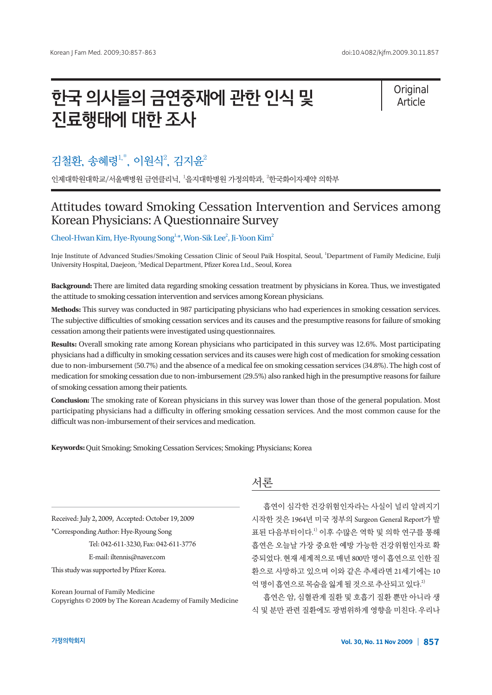# 한국 의사들의 금연중재에 관한 인식 및 진료행태에 대한 조사

**Original** Article

# 김철환, 송혜령<sup>1,\*</sup>, 이원식<sup>2</sup>, 김지윤<sup>2</sup>

인제대학원대학교/서울백병원 금연클리닉, '을지대학병원 가정의학과, <sup>2</sup>한국화이자제약 의학부

## Attitudes toward Smoking Cessation Intervention and Services among Korean Physicians: A Questionnaire Survey

### Cheol-Hwan Kim, Hye-Ryoung Song<sup>1,\*</sup>, Won-Sik Lee<sup>2</sup>, Ji-Yoon Kim<sup>2</sup>

Inje Institute of Advanced Studies/Smoking Cessation Clinic of Seoul Paik Hospital, Seoul, <sup>1</sup> Department of Family Medicine, Eulji University Hospital, Daejeon, <sup>2</sup>Medical Department, Pfizer Korea Ltd., Seoul, Korea

**Background:** There are limited data regarding smoking cessation treatment by physicians in Korea. Thus, we investigated the attitude to smoking cessation intervention and services among Korean physicians.

**Methods:** This survey was conducted in 987 participating physicians who had experiences in smoking cessation services. The subjective difficulties of smoking cessation services and its causes and the presumptive reasons for failure of smoking cessation among their patients were investigated using questionnaires.

**Results:** Overall smoking rate among Korean physicians who participated in this survey was 12.6%. Most participating physicians had a difficulty in smoking cessation services and its causes were high cost of medication for smoking cessation due to non-imbursement (50.7%) and the absence of a medical fee on smoking cessation services (34.8%). The high cost of medication for smoking cessation due to non-imbursement (29.5%) also ranked high in the presumptive reasons for failure of smoking cessation among their patients.

**Conclusion:** The smoking rate of Korean physicians in this survey was lower than those of the general population. Most participating physicians had a difficulty in offering smoking cessation services. And the most common cause for the difficult was non-imbursement of their services and medication.

**Keywords:** Quit Smoking; Smoking Cessation Services; Smoking; Physicians; Korea

Received: July 2, 2009, Accepted: October 19, 2009

\*Corresponding Author: Hye-Ryoung Song

Tel: 042-611-3230, Fax: 042-611-3776

E-mail: iltennis@naver.com

This study was supported by Pfizer Korea.

Korean Journal of Family Medicine Copyrights © 2009 by The Korean Academy of Family Medicine

### 서론

흡연이 심각한 건강위험인자라는 사실이 널리 알려지기 시작한 것은 1964년 미국 정부의 Surgeon General Report가 발 표된 다음부터이다. 1) 이후 수많은 역학 및 의학 연구를 통해 흡연은 오늘날 가장 중요한 예방 가능한 건강위험인자로 확 증되었다. 현재세계적으로 매년 800만명이흡연으로인한질 환으로 사망하고 있으며 이와 같은 추세라면 21세기에는 10 억명이흡연으로목숨을잃게될것으로추산되고있다. 2)

흡연은 암, 심혈관계 질환 및 호흡기 질환 뿐만 아니라 생 식 및 분만 관련 질환에도 광범위하게 영향을 미친다. 우리나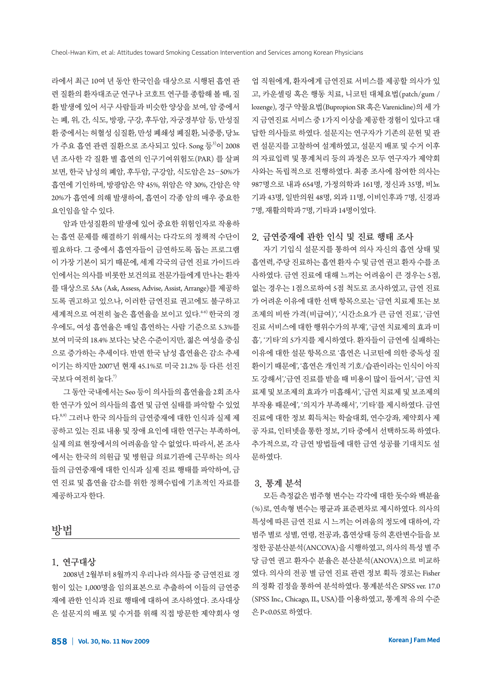라에서 최근 10여 년 동안 한국인을 대상으로 시행된 흡연 관 련 질환의 환자대조군 연구나 코호트 연구를 종합해 볼 때, 질 환 발생에 있어 서구 사람들과 비슷한 양상을 보여, 암 중에서 는 폐, 위, 간, 식도, 방광, 구강, 후두암, 자궁경부암 등, 만성질 환 중에서는 허혈성 심질환, 만성 폐쇄성 폐질환, 뇌중풍, 당뇨 가 주요 흡연 관련 질환으로 조사되고 있다. Song 등<sup>3)</sup>이 2008 년 조사한 각 질환 별 흡연의 인구기여위험도(PAR) 를 살펴 보면, 한국 남성의 폐암, 후두암, 구강암, 식도암은 25-50%가 흡연에 기인하며, 방광암은 약 45%, 위암은 약 30%, 간암은 약 20%가 흡연에 의해 발생하여, 흡연이 각종 암의 매우 중요한 요인임을알수있다.

암과 만성질환의 발생에 있어 중요한 위험인자로 작용하 는 흡연 문제를 해결하기 위해서는 다각도의 정책적 수단이 필요하다. 그 중에서 흡연자들이 금연하도록 돕는 프로그램 이 가장 기본이 되기 때문에, 세계 각국의 금연 진료 가이드라 인에서는 의사를 비롯한 보건의료 전문가들에게 만나는 환자 를 대상으로 5As (Ask, Assess, Advise, Assist, Arrange)를 제공하 도록 권고하고 있으나, 이러한 금연진료 권고에도 불구하고 세계적으로 여전히 높은 흡연율을 보이고 있다.<sup>46)</sup> 한국의 경 우에도, 여성 흡연율은 매일 흡연하는 사람 기준으로 5.3%를 보여 미국의 18.4% 보다는 낮은 수준이지만, 젊은 여성을 중심 으로 증가하는 추세이다. 반면 한국 남성 흡연율은 감소 추세 이기는 하지만 2007년 현재 45.1%로 미국 21.2% 등 다른 선진 국보다 여전히 높다. $^{\eta}$ 

그 동안 국내에서는 Seo 등이 의사들의 흡연율을 2회 조사 한 연구가 있어 의사들의 흡연 및 금연 실태를 파악할 수 있었 다.<sup>8,9)</sup> 그러나 한국 의사들의 금연중재에 대한 인식과 실제 제 공하고 있는 진료 내용 및 장애 요인에 대한 연구는 부족하여, 실제 의료 현장에서의 어려움을 알 수 없었다. 따라서, 본 조사 에서는 한국의 의원급 및 병원급 의료기관에 근무하는 의사 들의 금연중재에 대한 인식과 실제 진료 행태를 파악하여, 금 연 진료 및 흡연율 감소를 위한 정책수립에 기초적인 자료를 제공하고자한다.

### 방법

### 1. 연구대상

2008년 2월부터 8월까지 우리나라 의사들 중 금연진료 경 험이 있는 1,000명을 임의표본으로 추출하여 이들의 금연중 재에 관한 인식과 진료 행태에 대하여 조사하였다. 조사대상 은 설문지의 배포 및 수거를 위해 직접 방문한 제약회사 영 업 직원에게, 환자에게 금연진료 서비스를 제공할 의사가 있 고, 카운셀링 혹은 행동 치료, 니코틴 대체요법(patch/gum / lozenge), 경구약물요법(Bupropion SR 혹은 Varenicline)의세가 지금연진료서비스중 1가지이상을제공한경험이있다고대 답한 의사들로 하였다. 설문지는 연구자가 기존의 문헌 및 관 련 설문지를 고찰하여 설계하였고, 설문지 배포 및 수거 이후 의 자료입력 및 통계처리 등의 과정은 모두 연구자가 제약회 사와는 독립적으로 진행하였다. 최종 조사에 참여한 의사는 987명으로 내과 654명, 가정의학과 161명, 정신과 35명, 비뇨 기과 43명, 일반의원 48명, 외과 11명, 이비인후과 7명, 신경과 7명, 재활의학과 7명, 기타과 14명이었다.

#### 2. 금연중재에 관한 인식 및 진료 행태 조사

자기 기입식 설문지를 통하여 의사 자신의 흡연 상태 및 흡연력, 주당진료하는흡연환자수및금연권고환자수를조 사하였다. 금연 진료에 대해 느끼는 어려움이 큰 경우는 5점, 없는 경우는 1점으로하여 5점 척도로 조사하였고, 금연 진료 가 어려운 이유에 대한 선택 항목으로는 '금연 치료제 또는 보 조제의 비싼 가격(비급여)', '시간소요가 큰 금연 진료', '금연 진료 서비스에 대한 행위수가의 부재', '금연 치료제의 효과 미 흡', '기타'의 5가지를 제시하였다. 환자들이 금연에 실패하는 이유에 대한 설문 항목으로 '흡연은 니코틴에 의한 중독성 질 환이기 때문에', '흡연은 개인적 기호/습관이라는 인식이 아직 도 강해서','금연 진료를 받을 때 비용이 많이 들어서', '금연 치 료제 및 보조제의 효과가 미흡해서', '금연 치료제 및 보조제의 부작용 때문에', '의지가 부족해서', '기타'를 제시하였다. 금연 진료에 대한 정보 획득처는 학술대회, 연수강좌, 제약회사 제 공 자료, 인터넷을 통한 정보, 기타 중에서 선택하도록 하였다. 추가적으로, 각 금연 방법들에 대한 금연 성공률 기대치도 설 문하였다.

#### 3. 통계 분석

모든 측정값은 범주형 변수는 각각에 대한 돗수와 백분율 (%)로, 연속형 변수는 평균과 표준편차로 제시하였다. 의사의 특성에 따른 금연 진료 시 느끼는 어려움의 정도에 대하여, 각 범주 별로 성별, 연령, 전공과, 흡연상태 등의 혼란변수들을 보 정한공분산분석(ANCOVA)을시행하였고, 의사의특성별주 당 금연 권고 환자수 분율은 분산분석(ANOVA)으로 비교하 였다. 의사의 전공 별 금연 진료 관련 정보 획득 경로는 Fisher 의 정확 검정을 통하여 분석하였다. 통계분석은 SPSS ver. 17.0 (SPSS Inc., Chicago, IL, USA)를 이용하였고, 통계적 유의 수준 은 P<0.05로하였다.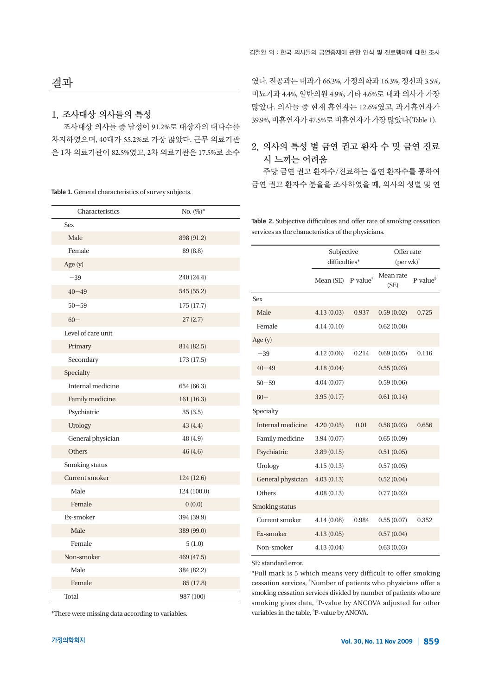# 결과

### 1. 조사대상 의사들의 특성

조사대상 의사들 중 남성이 91.2%로 대상자의 대다수를 차지하였으며, 40대가 55.2%로 가장 많았다. 근무 의료기관 은 1차 의료기관이 82.5%였고, 2차 의료기관은 17.5%로 소수

Table 1. General characteristics of survey subjects.

| Characteristics       | $No. (%)^*$ |
|-----------------------|-------------|
| <b>Sex</b>            |             |
| Male                  | 898 (91.2)  |
| Female                | 89 (8.8)    |
| Age (y)               |             |
| $-39\,$               | 240 (24.4)  |
| $40 - 49$             | 545 (55.2)  |
| $50 - 59$             | 175 (17.7)  |
| $60 -$                | 27(2.7)     |
| Level of care unit    |             |
| Primary               | 814 (82.5)  |
| Secondary             | 173 (17.5)  |
| Specialty             |             |
| Internal medicine     | 654 (66.3)  |
| Family medicine       | 161 (16.3)  |
| Psychiatric           | 35(3.5)     |
| Urology               | 43 (4.4)    |
| General physician     | 48(4.9)     |
| Others                | 46 (4.6)    |
| Smoking status        |             |
| <b>Current smoker</b> | 124 (12.6)  |
| Male                  | 124 (100.0) |
| Female                | 0(0.0)      |
| Ex-smoker             | 394 (39.9)  |
| Male                  | 389 (99.0)  |
| Female                | 5(1.0)      |
| Non-smoker            | 469 (47.5)  |
| Male                  | 384 (82.2)  |
| Female                | 85 (17.8)   |
| Total                 | 987 (100)   |

였다. 전공과는 내과가 66.3%, 가정의학과 16.3%, 정신과 3.5%, 비뇨기과 4.4%, 일반의원 4.9%, 기타 4.6%로 내과 의사가 가장 많았다. 의사들 중 현재 흡연자는 12.6%였고, 과거흡연자가 39.9%, 비흡연자가 47.5%로비흡연자가가장많았다(Table 1).

### 2. 의사의 특성 별 금연 권고 환자 수 및 금연 진료 시 느끼는 어려움

주당 금연 권고 환자수/진료하는 흡연 환자수를 통하여 금연 권고 환자수 분율을 조사하였을 때, 의사의 성별 및 연

Table 2. Subjective difficulties and offer rate of smoking cessation services as the characteristics of the physicians.

|                   | Subjective<br>difficulties* |                     | Offer rate<br>$(\text{per wk})^{\dagger}$ |            |  |
|-------------------|-----------------------------|---------------------|-------------------------------------------|------------|--|
|                   | Mean (SE)                   | $P-value^{\dagger}$ | Mean rate<br>(SE)                         | $P-value§$ |  |
| <b>Sex</b>        |                             |                     |                                           |            |  |
| Male              | 4.13(0.03)                  | 0.59(0.02)<br>0.937 |                                           | 0.725      |  |
| Female            | 4.14(0.10)                  |                     | 0.62(0.08)                                |            |  |
| Age (y)           |                             |                     |                                           |            |  |
| $-39$             | 4.12(0.06)                  | 0.214               | 0.69(0.05)                                | 0.116      |  |
| $40 - 49$         | 4.18(0.04)                  |                     | 0.55(0.03)                                |            |  |
| $50 - 59$         | 4.04(0.07)                  |                     | 0.59(0.06)                                |            |  |
| $60 -$            | 3.95(0.17)                  |                     | 0.61(0.14)                                |            |  |
| Specialty         |                             |                     |                                           |            |  |
| Internal medicine | 4.20(0.03)                  | 0.01                | 0.58(0.03)                                | 0.656      |  |
| Family medicine   | 3.94(0.07)                  |                     | 0.65(0.09)                                |            |  |
| Psychiatric       | 3.89(0.15)                  |                     | 0.51(0.05)                                |            |  |
| Urology           | 4.15(0.13)                  |                     | 0.57(0.05)                                |            |  |
| General physician | 4.03(0.13)                  |                     | 0.52(0.04)                                |            |  |
| Others            | 4.08(0.13)                  |                     | 0.77(0.02)                                |            |  |
| Smoking status    |                             |                     |                                           |            |  |
| Current smoker    | 4.14(0.08)                  | 0.984               | 0.55(0.07)                                | 0.352      |  |
| Ex-smoker         | 4.13(0.05)                  |                     | 0.57(0.04)                                |            |  |
| Non-smoker        | 4.13(0.04)                  |                     | 0.63(0.03)                                |            |  |

SE: standard error.

\*Full mark is 5 which means very difficult to offer smoking cessation services, † Number of patients who physicians offer a smoking cessation services divided by number of patients who are smoking gives data, ‡ P-value by ANCOVA adjusted for other variables in the table, <sup>\$</sup>P-value by ANOVA.

\*There were missing data according to variables.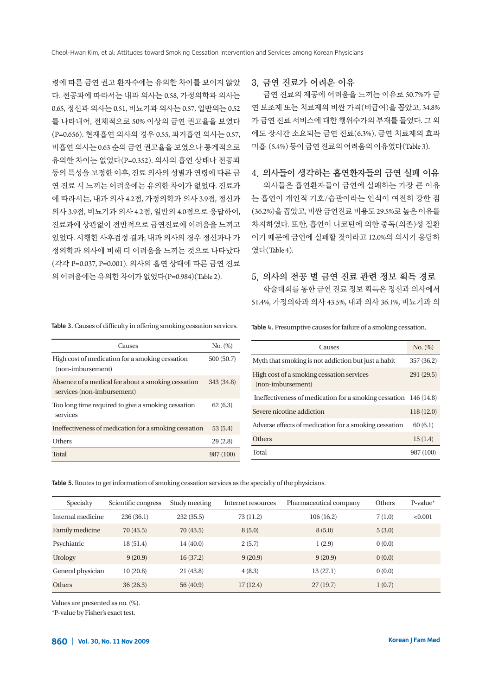령에 따른 금연 권고 환자수에는 유의한 차이를 보이지 않았 다. 전공과에 따라서는 내과 의사는 0.58, 가정의학과 의사는 0.65, 정신과 의사는 0.51, 비뇨기과 의사는 0.57, 일반의는 0.52 를 나타내어, 전체적으로 50% 이상의 금연 권고율을 보였다 (P=0.656). 현재흡연 의사의 경우 0.55, 과거흡연 의사는 0.57, 비흡연 의사는 0.63 순의 금연 권고율을 보였으나 통계적으로 유의한 차이는 없었다(P=0.352). 의사의 흡연 상태나 전공과 등의 특성을 보정한 이후, 진료 의사의 성별과 연령에 따른 금 연 진료 시 느끼는 어려움에는 유의한 차이가 없었다. 진료과 에 따라서는, 내과 의사 4.2점, 가정의학과 의사 3.9점, 정신과 의사 3.9점, 비뇨기과 의사 4.2점, 일반의 4.0점으로 응답하여, 진료과에 상관없이 전반적으로 금연진료에 어려움을 느끼고 있었다. 시행한 사후검정 결과, 내과 의사의 경우 정신과나 가 정의학과 의사에 비해 더 어려움을 느끼는 것으로 나타났다 (각각 P=0.037, P=0.001). 의사의 흡연 상태에 따른 금연 진료 의어려움에는유의한차이가없었다(P=0.984)(Table 2).

### 3. 금연 진료가 어려운 이유

금연 진료의 제공에 어려움을 느끼는 이유로 50.7%가 금 연 보조제 또는 치료제의 비싼 가격(비급여)을 꼽았고, 34.8% 가 금연 진료 서비스에 대한 행위수가의 부재를 들었다. 그 외 에도 장시간 소요되는 금연 진료(6.3%), 금연 치료제의 효과 미흡 (5.4%) 등이금연진료의어려움의이유였다(Table 3).

### 4. 의사들이 생각하는 흡연환자들의 금연 실패 이유

의사들은 흡연환자들이 금연에 실패하는 가장 큰 이유 는 흡연이 개인적 기호/습관이라는 인식이 여전히 강한 점 (36.2%)을꼽았고, 비싼 금연진료 비용도 29.5%로높은 이유를 차지하였다. 또한, 흡연이 니코틴에 의한 중독(의존)성 질환 이기 때문에 금연에 실패할 것이라고 12.0%의 의사가 응답하 였다(Table 4).

### 5. 의사의 전공 별 금연 진료 관련 정보 획득 경로

학술대회를 통한 금연 진료 정보 획득은 정신과 의사에서 51.4%, 가정의학과 의사 43.5%, 내과 의사 36.1%, 비뇨기과 의

Table 3. Causes of difficulty in offering smoking cessation services.

| Causes                                                                           | No. (%)    |
|----------------------------------------------------------------------------------|------------|
| High cost of medication for a smoking cessation<br>(non-imbursement)             | 500 (50.7) |
| Absence of a medical fee about a smoking cessation<br>services (non-imbursement) | 343 (34.8) |
| Too long time required to give a smoking cessation<br>services                   | 62(6.3)    |
| Ineffectiveness of medication for a smoking cessation                            | 53(5.4)    |
| Others                                                                           | 29(2.8)    |
| Total                                                                            | 987 (100)  |

Table 4. Presumptive causes for failure of a smoking cessation.

| Causes                                                           | No. (%)    |
|------------------------------------------------------------------|------------|
| Myth that smoking is not addiction but just a habit              | 357 (36.2) |
| High cost of a smoking cessation services<br>(non-imbursement)   | 291 (29.5) |
| Ineffectiveness of medication for a smoking cessation 146 (14.8) |            |
| Severe nicotine addiction                                        | 118(12.0)  |
| Adverse effects of medication for a smoking cessation            | 60(6.1)    |
| Others                                                           | 15(1.4)    |
| Total                                                            | 987 (100)  |

Table 5. Routes to get information of smoking cessation services as the specialty of the physicians.

| Specialty         | Scientific congress | Study meeting | Internet resources | Pharmaceutical company | Others | P-value* |
|-------------------|---------------------|---------------|--------------------|------------------------|--------|----------|
| Internal medicine | 236 (36.1)          | 232 (35.5)    | 73 (11.2)          | 106(16.2)              | 7(1.0) | < 0.001  |
| Family medicine   | 70(43.5)            | 70(43.5)      | 8(5.0)             | 8(5.0)                 | 5(3.0) |          |
| Psychiatric       | 18 (51.4)           | 14 (40.0)     | 2(5.7)             | 1(2.9)                 | 0(0.0) |          |
| <b>Urology</b>    | 9(20.9)             | 16(37.2)      | 9(20.9)            | 9(20.9)                | 0(0.0) |          |
| General physician | 10(20.8)            | 21 (43.8)     | 4(8.3)             | 13(27.1)               | 0(0.0) |          |
| <b>Others</b>     | 36(26.3)            | 56 (40.9)     | 17(12.4)           | 27(19.7)               | 1(0.7) |          |

Values are presented as no. (%).

\*P-value by Fisher's exact test.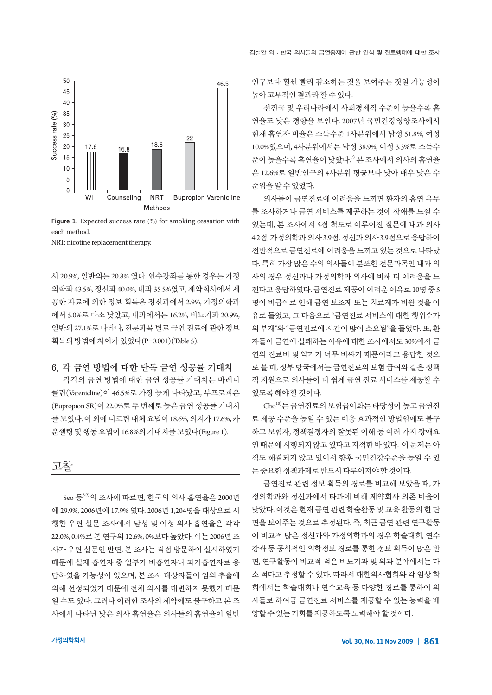

Figure 1. Expected success rate (%) for smoking cessation with each method.

NRT: nicotine replacement therapy.

사 20.9%, 일반의는 20.8% 였다. 연수강좌를 통한 경우는 가정 의학과 43.5%, 정신과 40.0%, 내과 35.5%였고, 제약회사에서 제 공한 자료에 의한 정보 획득은 정신과에서 2.9%, 가정의학과 에서 5.0%로 다소 낮았고, 내과에서는 16.2%, 비뇨기과 20.9%, 일반의 27.1%로 나타나, 전문과목 별로 금연 진료에 관한 정보 획득의방법에차이가있었다(P=0.001)(Table 5).

### 6. 각 금연 방법에 대한 단독 금연 성공률 기대치

각각의 금연 방법에 대한 금연 성공률 기대치는 바레니 클린(Varenicline)이 46.5%로 가장 높게 나타났고, 부프로피온 (Bupropion SR)이 22.0%로 두 번째로 높은 금연 성공률 기대치 를보였다. 이외에니코틴대체요법이 18.6%, 의지가 17.6%, 카 운셀링및행동요법이 16.8%의기대치를보였다(Figure 1).



Seo 등<sup>8,9)</sup>의 조사에 따르면, 한국의 의사 흡연율은 2000년 에 29.9%, 2006년에 17.9% 였다. 2006년 1,204명을 대상으로 시 행한 우편 설문 조사에서 남성 및 여성 의사 흡연율은 각각 22.0%, 0.4%로 본 연구의 12.6%, 0%보다 높았다. 이는 2006년 조 사가 우편 설문인 반면, 본 조사는 직접 방문하여 실시하였기 때문에 실제 흡연자 중 일부가 비흡연자나 과거흡연자로 응 답하였을 가능성이 있으며, 본 조사 대상자들이 임의 추출에 의해 선정되었기 때문에 전체 의사를 대변하지 못했기 때문 일 수도 있다. 그러나 이러한 조사의 제약에도 불구하고 본 조 사에서 나타난 낮은 의사 흡연율은 의사들의 흡연율이 일반

인구보다 훨씬 빨리 감소하는 것을 보여주는 것일 가능성이 높아고무적인결과라할수있다.

선진국 및 우리나라에서 사회경제적 수준이 높을수록 흡 연율도 낮은 경향을 보인다. 2007년 국민건강영양조사에서 현재 흡연자 비율은 소득수준 1사분위에서 남성 51.8%, 여성 10.0%였으며, 4사분위에서는 남성 38.9%, 여성 3.3%로 소득수 준이 높을수록 흡연율이 낮았다. 7) 본 조사에서 의사의 흡연율 은 12.6%로 일반인구의 4사분위 평균보다 낮아 매우 낮은 수 준임을알수있었다.

의사들이 금연진료에 어려움을 느끼면 환자의 흡연 유무 를 조사하거나 금연 서비스를 제공하는 것에 장애를 느낄 수 있는데, 본 조사에서 5점 척도로 이루어진 질문에 내과 의사 4.2점, 가정의학과의사 3.9점, 정신과의사 3.9점으로응답하여 전반적으로 금연진료에 어려움을 느끼고 있는 것으로 나타났 다. 특히 가장 많은 수의 의사들이 분포한 전문과목인 내과 의 사의 경우 정신과나 가정의학과 의사에 비해 더 어려움을 느 낀다고응답하였다. 금연진료제공이어려운이유로 10명중 5 명이 비급여로 인해 금연 보조제 또는 치료제가 비싼 것을 이 유로 들었고, 그 다음으로 "금연진료 서비스에 대한 행위수가 의 부재"와 "금연진료에 시간이 많이 소요됨"을 들었다. 또, 환 자들이 금연에 실패하는 이유에 대한 조사에서도 30%에서 금 연의 진료비 및 약가가 너무 비싸기 때문이라고 응답한 것으 로 볼 때, 정부 당국에서는 금연진료의 보험 급여와 같은 정책 적 지원으로 의사들이 더 쉽게 금연 진료 서비스를 제공할 수 있도록해야할것이다.

Cho10)는 금연진료의 보험급여화는 타당성이 높고 금연진 료 제공 수준을 높일 수 있는 비용 효과적인 방법임에도 불구 하고 보험자, 정책결정자의 잘못된 이해 등 여러 가지 장애요 인때문에시행되지않고있다고지적한바있다. 이문제는아 직도 해결되지 않고 있어서 향후 국민건강수준을 높일 수 있 는중요한정책과제로반드시다루어져야할것이다.

금연진료 관련 정보 획득의 경로를 비교해 보았을 때, 가 정의학과와 정신과에서 타과에 비해 제약회사 의존 비율이 낮았다. 이것은 현재 금연 관련 학술활동 및 교육 활동의 한 단 면을 보여주는 것으로 추정된다. 즉, 최근 금연 관련 연구활동 이 비교적 많은 정신과와 가정의학과의 경우 학술대회, 연수 강좌 등 공식적인 의학정보 경로를 통한 정보 획득이 많은 반 면, 연구활동이 비교적 적은 비뇨기과 및 외과 분야에서는 다 소 적다고 추정할 수 있다. 따라서 대한의사협회와 각 임상 학 회에서는 학술대회나 연수교육 등 다양한 경로를 통하여 의 사들로 하여금 금연진료 서비스를 제공할 수 있는 능력을 배 양할수있는기회를제공하도록노력해야할것이다.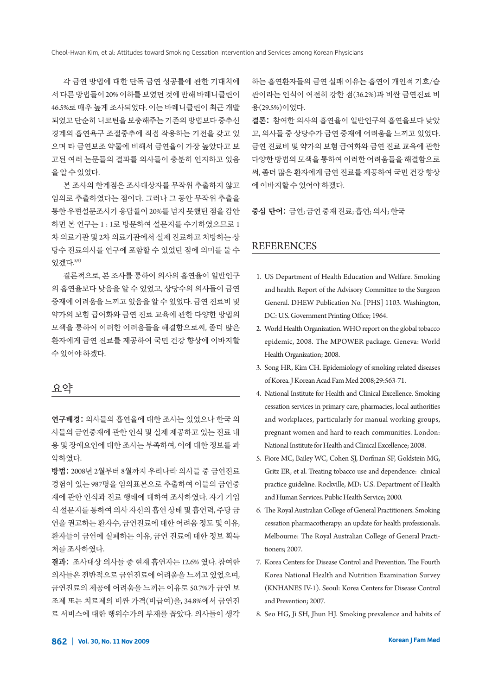각 금연 방법에 대한 단독 금연 성공률에 관한 기대치에 서다른방법들이 20% 이하를보였던것에반해바레니클린이 46.5%로 매우 높게 조사되었다. 이는 바레니클린이 최근 개발 되었고 단순히 니코틴을 보충해주는 기존의 방법보다 중추신 경계의 흡연욕구 조절중추에 직접 작용하는 기전을 갖고 있 으며 타 금연보조 약물에 비해서 금연율이 가장 높았다고 보 고된 여러 논문들의 결과를 의사들이 충분히 인지하고 있음 을알수있었다.

본 조사의 한계점은 조사대상자를 무작위 추출하지 않고 임의로 추출하였다는 점이다. 그러나 그 동안 무작위 추출을 통한 우편설문조사가 응답률이 20%를 넘지 못했던 점을 감안 하면 본 연구는 1 : 1로 방문하여 설문지를 수거하였으므로 1 차 의료기관 및 2차 의료기관에서 실제 진료하고 처방하는 상 당수 진료의사를 연구에 포함할 수 있었던 점에 의미를 둘 수 있겠다. 8,9)

결론적으로, 본 조사를 통하여 의사의 흡연율이 일반인구 의 흡연율보다 낮음을 알 수 있었고, 상당수의 의사들이 금연 중재에 어려움을 느끼고 있음을 알 수 있었다. 금연 진료비 및 약가의 보험 급여화와 금연 진료 교육에 관한 다양한 방법의 모색을 통하여 이러한 어려움들을 해결함으로써, 좀더 많은 환자에게 금연 진료를 제공하여 국민 건강 향상에 이바지할 수있어야하겠다.

### 요약

연구배경: 의사들의 흡연율에 대한 조사는 있었으나 한국 의 사들의 금연중재에 관한 인식 및 실제 제공하고 있는 진료 내 용 및 장애요인에 대한 조사는 부족하여, 이에 대한 정보를 파 악하였다.

방법: 2008년 2월부터 8월까지 우리나라 의사들 중 금연진료 경험이 있는 987명을 임의표본으로 추출하여 이들의 금연중 재에 관한 인식과 진료 행태에 대하여 조사하였다. 자기 기입 식 설문지를 통하여 의사 자신의 흡연 상태 및 흡연력, 주당 금 연을 권고하는 환자수, 금연진료에 대한 어려움 정도 및 이유, 환자들이 금연에 실패하는 이유, 금연 진료에 대한 정보 획득 처를조사하였다.

결과: 조사대상 의사들 중 현재 흡연자는 12.6% 였다. 참여한 의사들은 전반적으로 금연진료에 어려움을 느끼고 있었으며, 금연진료의 제공에 어려움을 느끼는 이유로 50.7%가 금연 보 조제 또는 치료제의 비싼 가격(비급여)을, 34.8%에서 금연진 료 서비스에 대한 행위수가의 부재를 꼽았다. 의사들이 생각 하는 흡연환자들의 금연 실패 이유는 흡연이 개인적 기호/습 관이라는 인식이 여전히 강한 점(36.2%)과 비싼 금연진료 비 용(29.5%)이었다.

결론: 참여한 의사의 흡연율이 일반인구의 흡연율보다 낮았 고, 의사들 중 상당수가 금연 중재에 어려움을 느끼고 있었다. 금연 진료비 및 약가의 보험 급여화와 금연 진료 교육에 관한 다양한 방법의 모색을 통하여 이러한 어려움들을 해결함으로 써, 좀더 많은 환자에게 금연 진료를 제공하여 국민 건강 향상 에이바지할수있어야하겠다.

중심 단어: 금연; 금연중재진료; 흡연; 의사; 한국

### **REFERENCES**

- 1. US Department of Health Education and Welfare. Smoking and health. Report of the Advisory Committee to the Surgeon General. DHEW Publication No. [PHS] 1103. Washington, DC: U.S. Government Printing Office; 1964.
- 2. World Health Organization. WHO report on the global tobacco epidemic, 2008. The MPOWER package. Geneva: World Health Organization; 2008.
- 3. Song HR, Kim CH. Epidemiology of smoking related diseases of Korea. J Korean Acad Fam Med 2008;29:563-71.
- 4. National Institute for Health and Clinical Excellence. Smoking cessation services in primary care, pharmacies, local authorities and workplaces, particularly for manual working groups, pregnant women and hard to reach communities. London: National Institute for Health and Clinical Excellence; 2008.
- 5. Fiore MC, Bailey WC, Cohen SJ, Dorfman SF, Goldstein MG, Gritz ER, et al. Treating tobacco use and dependence: clinical practice guideline. Rockville, MD: U.S. Department of Health and Human Services. Public Health Service; 2000.
- 6. The Royal Australian College of General Practitioners. Smoking cessation pharmacotherapy: an update for health professionals. Melbourne: The Royal Australian College of General Practitioners; 2007.
- 7. Korea Centers for Disease Control and Prevention. The Fourth Korea National Health and Nutrition Examination Survey (KNHANES IV-1). Seoul: Korea Centers for Disease Control and Prevention; 2007.
- 8. Seo HG, Ji SH, Jhun HJ. Smoking prevalence and habits of